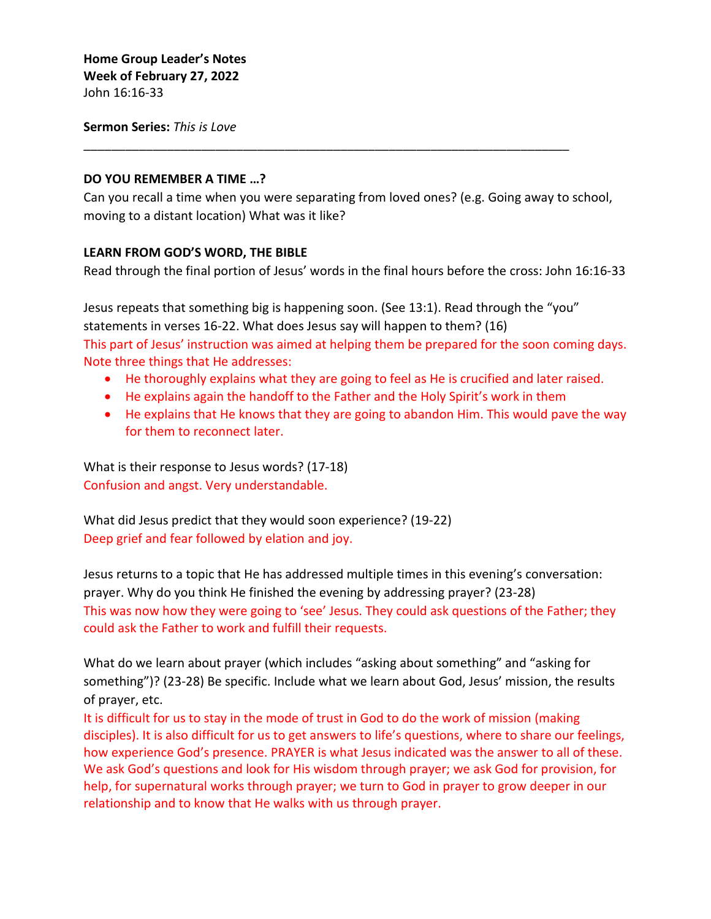**Sermon Series:** *This is Love*

## **DO YOU REMEMBER A TIME …?**

Can you recall a time when you were separating from loved ones? (e.g. Going away to school, moving to a distant location) What was it like?

\_\_\_\_\_\_\_\_\_\_\_\_\_\_\_\_\_\_\_\_\_\_\_\_\_\_\_\_\_\_\_\_\_\_\_\_\_\_\_\_\_\_\_\_\_\_\_\_\_\_\_\_\_\_\_\_\_\_\_\_\_\_\_\_\_\_\_\_\_\_

## **LEARN FROM GOD'S WORD, THE BIBLE**

Read through the final portion of Jesus' words in the final hours before the cross: John 16:16-33

Jesus repeats that something big is happening soon. (See 13:1). Read through the "you" statements in verses 16-22. What does Jesus say will happen to them? (16) This part of Jesus' instruction was aimed at helping them be prepared for the soon coming days. Note three things that He addresses:

- He thoroughly explains what they are going to feel as He is crucified and later raised.
- He explains again the handoff to the Father and the Holy Spirit's work in them
- He explains that He knows that they are going to abandon Him. This would pave the way for them to reconnect later.

What is their response to Jesus words? (17-18) Confusion and angst. Very understandable.

What did Jesus predict that they would soon experience? (19-22) Deep grief and fear followed by elation and joy.

Jesus returns to a topic that He has addressed multiple times in this evening's conversation: prayer. Why do you think He finished the evening by addressing prayer? (23-28) This was now how they were going to 'see' Jesus. They could ask questions of the Father; they could ask the Father to work and fulfill their requests.

What do we learn about prayer (which includes "asking about something" and "asking for something")? (23-28) Be specific. Include what we learn about God, Jesus' mission, the results of prayer, etc.

It is difficult for us to stay in the mode of trust in God to do the work of mission (making disciples). It is also difficult for us to get answers to life's questions, where to share our feelings, how experience God's presence. PRAYER is what Jesus indicated was the answer to all of these. We ask God's questions and look for His wisdom through prayer; we ask God for provision, for help, for supernatural works through prayer; we turn to God in prayer to grow deeper in our relationship and to know that He walks with us through prayer.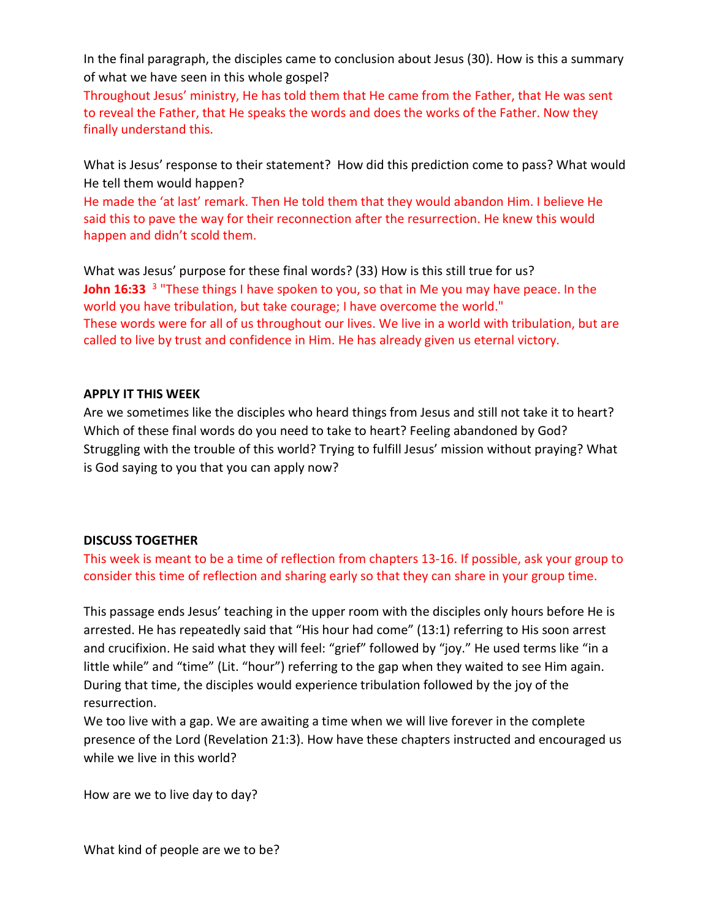In the final paragraph, the disciples came to conclusion about Jesus (30). How is this a summary of what we have seen in this whole gospel?

Throughout Jesus' ministry, He has told them that He came from the Father, that He was sent to reveal the Father, that He speaks the words and does the works of the Father. Now they finally understand this.

What is Jesus' response to their statement? How did this prediction come to pass? What would He tell them would happen?

He made the 'at last' remark. Then He told them that they would abandon Him. I believe He said this to pave the way for their reconnection after the resurrection. He knew this would happen and didn't scold them.

What was Jesus' purpose for these final words? (33) How is this still true for us? **John 16:33** <sup>3</sup> "These things I have spoken to you, so that in Me you may have peace. In the world you have tribulation, but take courage; I have overcome the world." These words were for all of us throughout our lives. We live in a world with tribulation, but are called to live by trust and confidence in Him. He has already given us eternal victory.

## **APPLY IT THIS WEEK**

Are we sometimes like the disciples who heard things from Jesus and still not take it to heart? Which of these final words do you need to take to heart? Feeling abandoned by God? Struggling with the trouble of this world? Trying to fulfill Jesus' mission without praying? What is God saying to you that you can apply now?

## **DISCUSS TOGETHER**

This week is meant to be a time of reflection from chapters 13-16. If possible, ask your group to consider this time of reflection and sharing early so that they can share in your group time.

This passage ends Jesus' teaching in the upper room with the disciples only hours before He is arrested. He has repeatedly said that "His hour had come" (13:1) referring to His soon arrest and crucifixion. He said what they will feel: "grief" followed by "joy." He used terms like "in a little while" and "time" (Lit. "hour") referring to the gap when they waited to see Him again. During that time, the disciples would experience tribulation followed by the joy of the resurrection.

We too live with a gap. We are awaiting a time when we will live forever in the complete presence of the Lord (Revelation 21:3). How have these chapters instructed and encouraged us while we live in this world?

How are we to live day to day?